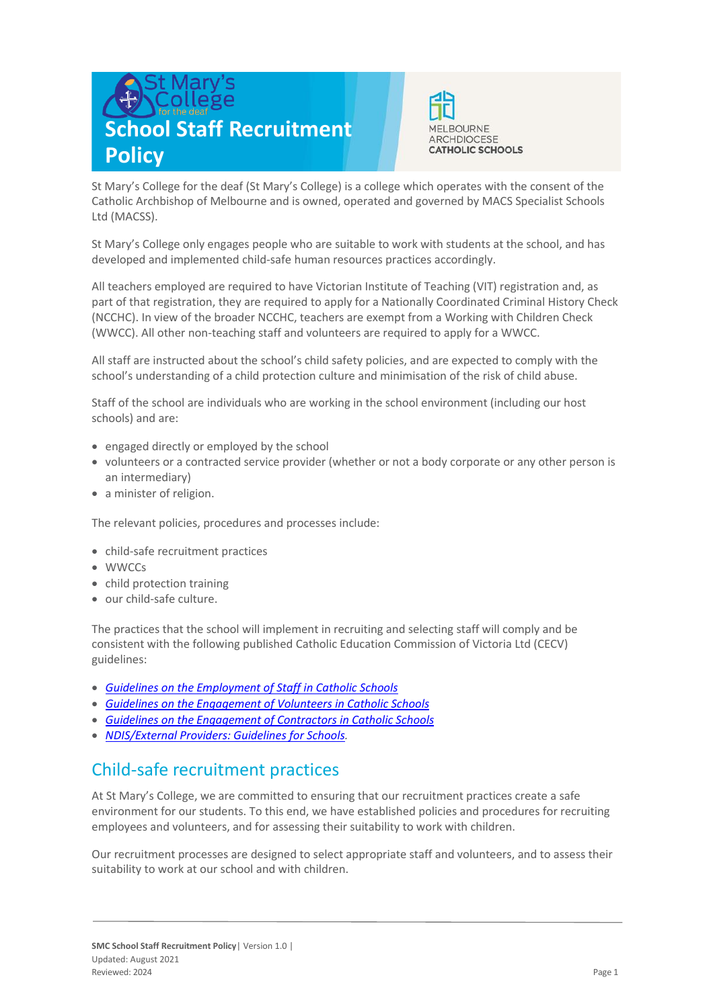# **School Staff Recruitment Policy**



St Mary's College for the deaf (St Mary's College) is a college which operates with the consent of the Catholic Archbishop of Melbourne and is owned, operated and governed by MACS Specialist Schools Ltd (MACSS).

St Mary's College only engages people who are suitable to work with students at the school, and has developed and implemented child-safe human resources practices accordingly.

All teachers employed are required to have Victorian Institute of Teaching (VIT) registration and, as part of that registration, they are required to apply for a Nationally Coordinated Criminal History Check (NCCHC). In view of the broader NCCHC, teachers are exempt from a Working with Children Check (WWCC). All other non-teaching staff and volunteers are required to apply for a WWCC.

All staff are instructed about the school's child safety policies, and are expected to comply with the school's understanding of a child protection culture and minimisation of the risk of child abuse.

Staff of the school are individuals who are working in the school environment (including our host schools) and are:

- engaged directly or employed by the school
- volunteers or a contracted service provider (whether or not a body corporate or any other person is an intermediary)
- a minister of religion.

The relevant policies, procedures and processes include:

- child-safe recruitment practices
- WWCCs
- child protection training
- our child-safe culture.

The practices that the school will implement in recruiting and selecting staff will comply and be consistent with the following published Catholic Education Commission of Victoria Ltd (CECV) guidelines:

- *Guidelines on the [Employment of Staff in](https://www.cecv.catholic.edu.au/getmedia/0393d7fb-2fb9-4e48-a05e-56b703dd62eb/Employment-Guidelines.aspx) Catholic Schools*
- *[Guidelines on the Engagement of Volunteers in Catholic Schools](https://www.cecv.catholic.edu.au/Media-Files/IR/Policies-Guidelines/Volunteers/Guidelines-on-the-Engagement-of-Volunteers.aspx)*
- *[Guidelines on the Engagement of Contractors in Catholic Schools](https://www.cecv.catholic.edu.au/Media-Files/IR/Policies-Guidelines/Staff,-Contractors,-Volunteers/Contractor-Guidelines.aspx)*
- *[NDIS/External Providers: Guidelines for Schools.](https://www.cecv.catholic.edu.au/getmedia/cec12bdf-5e03-4d3a-ac47-504fe084f415/NDIS-External-Providers-Guidelines.aspx?ext=.pdf)*

## Child-safe recruitment practices

At St Mary's College, we are committed to ensuring that our recruitment practices create a safe environment for our students. To this end, we have established policies and procedures for recruiting employees and volunteers, and for assessing their suitability to work with children.

Our recruitment processes are designed to select appropriate staff and volunteers, and to assess their suitability to work at our school and with children.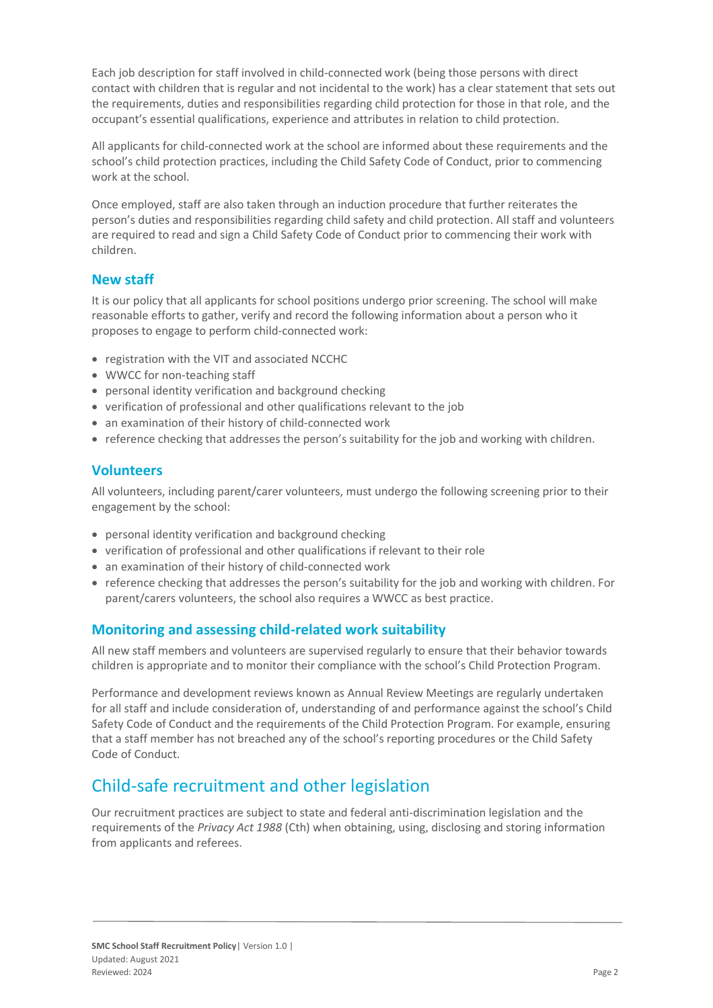Each job description for staff involved in child-connected work (being those persons with direct contact with children that is regular and not incidental to the work) has a clear statement that sets out the requirements, duties and responsibilities regarding child protection for those in that role, and the occupant's essential qualifications, experience and attributes in relation to child protection.

All applicants for child-connected work at the school are informed about these requirements and the school's child protection practices, including the Child Safety Code of Conduct, prior to commencing work at the school.

Once employed, staff are also taken through an induction procedure that further reiterates the person's duties and responsibilities regarding child safety and child protection. All staff and volunteers are required to read and sign a Child Safety Code of Conduct prior to commencing their work with children.

#### **New staff**

It is our policy that all applicants for school positions undergo prior screening. The school will make reasonable efforts to gather, verify and record the following information about a person who it proposes to engage to perform child-connected work:

- registration with the VIT and associated NCCHC
- WWCC for non-teaching staff
- personal identity verification and background checking
- verification of professional and other qualifications relevant to the job
- an examination of their history of child-connected work
- reference checking that addresses the person's suitability for the job and working with children.

#### **Volunteers**

All volunteers, including parent/carer volunteers, must undergo the following screening prior to their engagement by the school:

- personal identity verification and background checking
- verification of professional and other qualifications if relevant to their role
- an examination of their history of child-connected work
- reference checking that addresses the person's suitability for the job and working with children. For parent/carers volunteers, the school also requires a WWCC as best practice.

#### **Monitoring and assessing child-related work suitability**

All new staff members and volunteers are supervised regularly to ensure that their behavior towards children is appropriate and to monitor their compliance with the school's Child Protection Program.

Performance and development reviews known as Annual Review Meetings are regularly undertaken for all staff and include consideration of, understanding of and performance against the school's Child Safety Code of Conduct and the requirements of the Child Protection Program. For example, ensuring that a staff member has not breached any of the school's reporting procedures or the Child Safety Code of Conduct.

### Child-safe recruitment and other legislation

Our recruitment practices are subject to state and federal anti-discrimination legislation and the requirements of the *Privacy Act 1988* (Cth) when obtaining, using, disclosing and storing information from applicants and referees.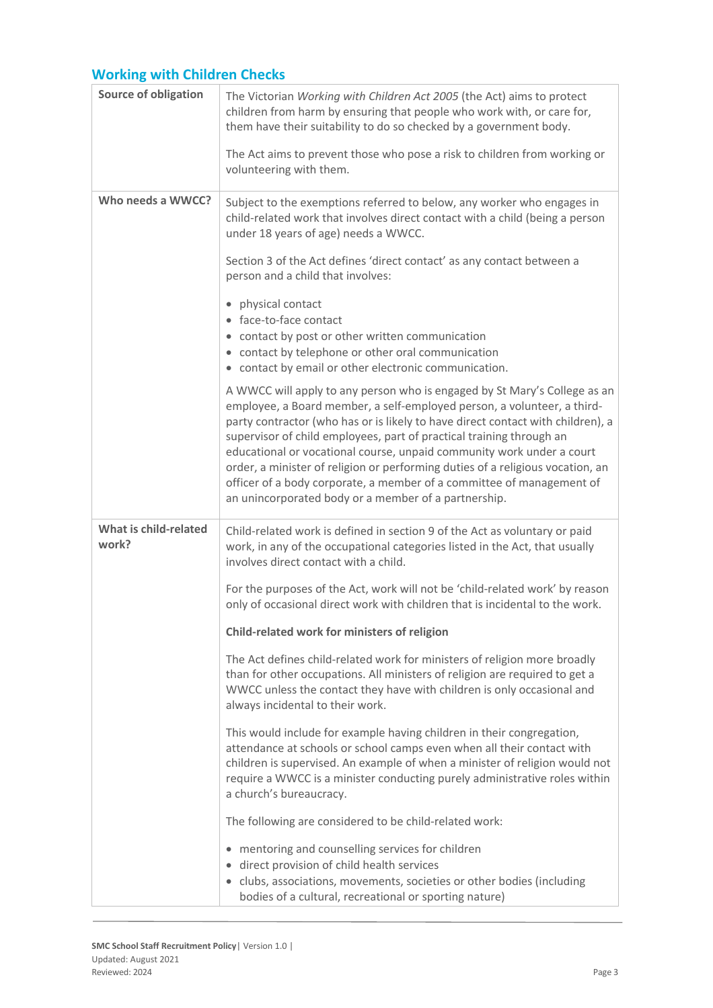## **Working with Children Checks**

| <b>Source of obligation</b>    | The Victorian Working with Children Act 2005 (the Act) aims to protect<br>children from harm by ensuring that people who work with, or care for,<br>them have their suitability to do so checked by a government body.                                                                                                                                                                                                                                                                                                                                                                                      |
|--------------------------------|-------------------------------------------------------------------------------------------------------------------------------------------------------------------------------------------------------------------------------------------------------------------------------------------------------------------------------------------------------------------------------------------------------------------------------------------------------------------------------------------------------------------------------------------------------------------------------------------------------------|
|                                | The Act aims to prevent those who pose a risk to children from working or<br>volunteering with them.                                                                                                                                                                                                                                                                                                                                                                                                                                                                                                        |
| Who needs a WWCC?              | Subject to the exemptions referred to below, any worker who engages in<br>child-related work that involves direct contact with a child (being a person<br>under 18 years of age) needs a WWCC.                                                                                                                                                                                                                                                                                                                                                                                                              |
|                                | Section 3 of the Act defines 'direct contact' as any contact between a<br>person and a child that involves:                                                                                                                                                                                                                                                                                                                                                                                                                                                                                                 |
|                                | physical contact<br>$\bullet$<br>• face-to-face contact<br>• contact by post or other written communication<br>• contact by telephone or other oral communication<br>• contact by email or other electronic communication.                                                                                                                                                                                                                                                                                                                                                                                  |
|                                | A WWCC will apply to any person who is engaged by St Mary's College as an<br>employee, a Board member, a self-employed person, a volunteer, a third-<br>party contractor (who has or is likely to have direct contact with children), a<br>supervisor of child employees, part of practical training through an<br>educational or vocational course, unpaid community work under a court<br>order, a minister of religion or performing duties of a religious vocation, an<br>officer of a body corporate, a member of a committee of management of<br>an unincorporated body or a member of a partnership. |
| What is child-related<br>work? | Child-related work is defined in section 9 of the Act as voluntary or paid<br>work, in any of the occupational categories listed in the Act, that usually<br>involves direct contact with a child.                                                                                                                                                                                                                                                                                                                                                                                                          |
|                                | For the purposes of the Act, work will not be 'child-related work' by reason<br>only of occasional direct work with children that is incidental to the work.                                                                                                                                                                                                                                                                                                                                                                                                                                                |
|                                | Child-related work for ministers of religion                                                                                                                                                                                                                                                                                                                                                                                                                                                                                                                                                                |
|                                | The Act defines child-related work for ministers of religion more broadly<br>than for other occupations. All ministers of religion are required to get a<br>WWCC unless the contact they have with children is only occasional and<br>always incidental to their work.                                                                                                                                                                                                                                                                                                                                      |
|                                | This would include for example having children in their congregation,<br>attendance at schools or school camps even when all their contact with<br>children is supervised. An example of when a minister of religion would not<br>require a WWCC is a minister conducting purely administrative roles within<br>a church's bureaucracy.                                                                                                                                                                                                                                                                     |
|                                | The following are considered to be child-related work:                                                                                                                                                                                                                                                                                                                                                                                                                                                                                                                                                      |
|                                | mentoring and counselling services for children<br>direct provision of child health services<br>• clubs, associations, movements, societies or other bodies (including<br>bodies of a cultural, recreational or sporting nature)                                                                                                                                                                                                                                                                                                                                                                            |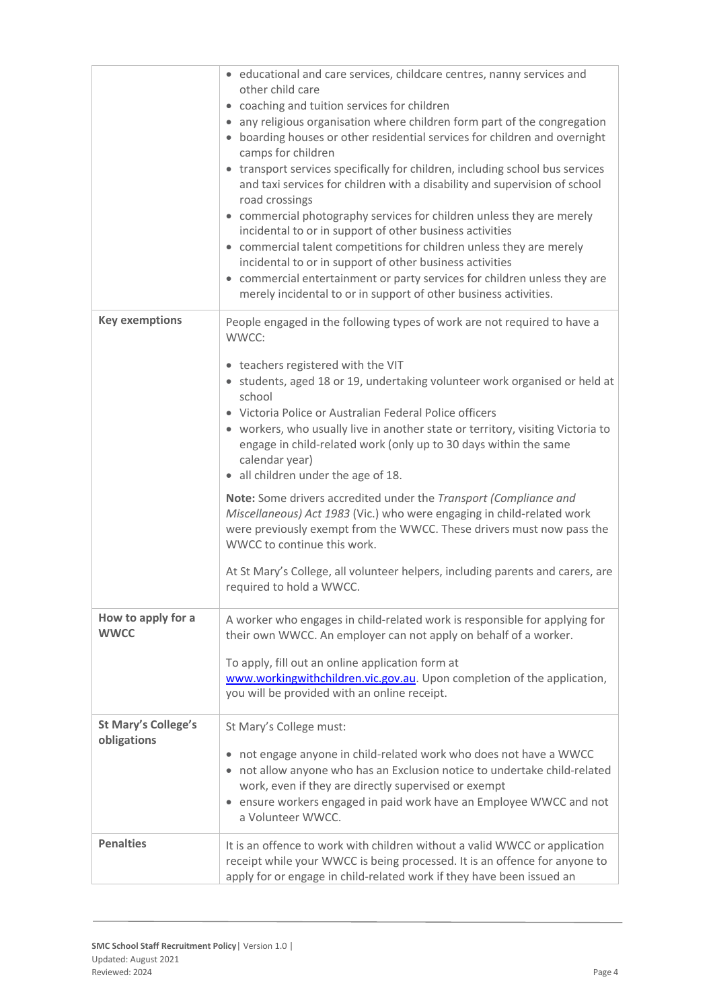|                                           | • educational and care services, childcare centres, nanny services and<br>other child care<br>• coaching and tuition services for children<br>• any religious organisation where children form part of the congregation<br>• boarding houses or other residential services for children and overnight<br>camps for children<br>• transport services specifically for children, including school bus services<br>and taxi services for children with a disability and supervision of school<br>road crossings<br>• commercial photography services for children unless they are merely<br>incidental to or in support of other business activities<br>• commercial talent competitions for children unless they are merely<br>incidental to or in support of other business activities<br>• commercial entertainment or party services for children unless they are<br>merely incidental to or in support of other business activities. |
|-------------------------------------------|----------------------------------------------------------------------------------------------------------------------------------------------------------------------------------------------------------------------------------------------------------------------------------------------------------------------------------------------------------------------------------------------------------------------------------------------------------------------------------------------------------------------------------------------------------------------------------------------------------------------------------------------------------------------------------------------------------------------------------------------------------------------------------------------------------------------------------------------------------------------------------------------------------------------------------------|
| <b>Key exemptions</b>                     | People engaged in the following types of work are not required to have a<br>WWCC:<br>• teachers registered with the VIT<br>• students, aged 18 or 19, undertaking volunteer work organised or held at<br>school<br>• Victoria Police or Australian Federal Police officers<br>• workers, who usually live in another state or territory, visiting Victoria to<br>engage in child-related work (only up to 30 days within the same<br>calendar year)<br>• all children under the age of 18.<br>Note: Some drivers accredited under the Transport (Compliance and<br>Miscellaneous) Act 1983 (Vic.) who were engaging in child-related work<br>were previously exempt from the WWCC. These drivers must now pass the<br>WWCC to continue this work.<br>At St Mary's College, all volunteer helpers, including parents and carers, are<br>required to hold a WWCC.                                                                        |
| How to apply for a<br><b>WWCC</b>         | A worker who engages in child-related work is responsible for applying for<br>their own WWCC. An employer can not apply on behalf of a worker.<br>To apply, fill out an online application form at<br>www.workingwithchildren.vic.gov.au. Upon completion of the application,<br>you will be provided with an online receipt.                                                                                                                                                                                                                                                                                                                                                                                                                                                                                                                                                                                                          |
| <b>St Mary's College's</b><br>obligations | St Mary's College must:<br>• not engage anyone in child-related work who does not have a WWCC<br>• not allow anyone who has an Exclusion notice to undertake child-related<br>work, even if they are directly supervised or exempt<br>• ensure workers engaged in paid work have an Employee WWCC and not<br>a Volunteer WWCC.                                                                                                                                                                                                                                                                                                                                                                                                                                                                                                                                                                                                         |
| <b>Penalties</b>                          | It is an offence to work with children without a valid WWCC or application<br>receipt while your WWCC is being processed. It is an offence for anyone to<br>apply for or engage in child-related work if they have been issued an                                                                                                                                                                                                                                                                                                                                                                                                                                                                                                                                                                                                                                                                                                      |